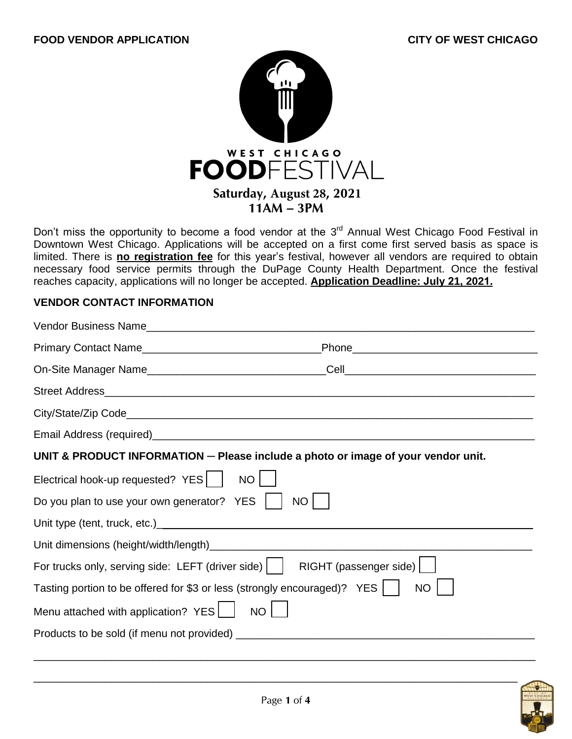

Don't miss the opportunity to become a food vendor at the  $3<sup>rd</sup>$  Annual West Chicago Food Festival in Downtown West Chicago. Applications will be accepted on a first come first served basis as space is limited. There is **no registration fee** for this year's festival, however all vendors are required to obtain necessary food service permits through the DuPage County Health Department. Once the festival reaches capacity, applications will no longer be accepted. **Application Deadline: July 21, 2021.**

## **VENDOR CONTACT INFORMATION**

| UNIT & PRODUCT INFORMATION - Please include a photo or image of your vendor unit.         |  |  |  |  |
|-------------------------------------------------------------------------------------------|--|--|--|--|
| Electrical hook-up requested? YES   NO                                                    |  |  |  |  |
| Do you plan to use your own generator? YES    <br>NO                                      |  |  |  |  |
|                                                                                           |  |  |  |  |
|                                                                                           |  |  |  |  |
| For trucks only, serving side: LEFT (driver side)     RIGHT (passenger side)              |  |  |  |  |
| Tasting portion to be offered for \$3 or less (strongly encouraged)? YES    <br><b>NO</b> |  |  |  |  |
| Menu attached with application? YES   NO                                                  |  |  |  |  |
|                                                                                           |  |  |  |  |
|                                                                                           |  |  |  |  |

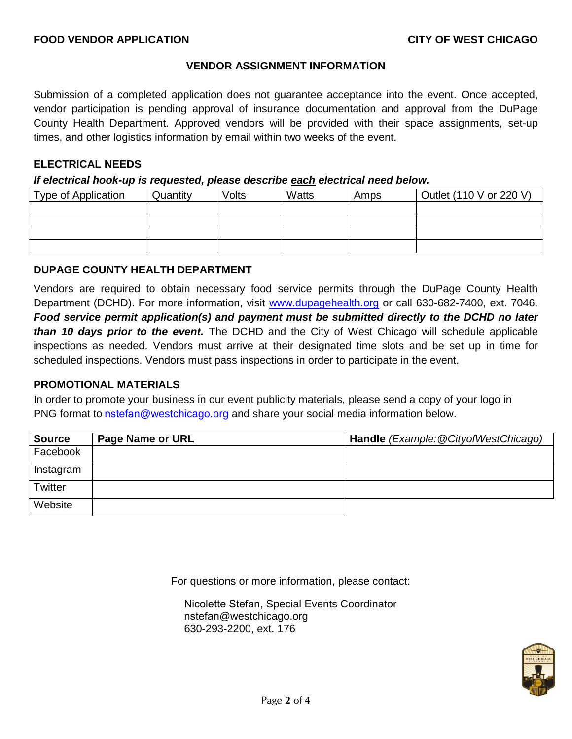### **VENDOR ASSIGNMENT INFORMATION**

Submission of a completed application does not guarantee acceptance into the event. Once accepted, vendor participation is pending approval of insurance documentation and approval from the DuPage County Health Department. Approved vendors will be provided with their space assignments, set-up times, and other logistics information by email within two weeks of the event.

### **ELECTRICAL NEEDS**

#### *If electrical hook-up is requested, please describe each electrical need below.*

| Type of Application | Quantity | Volts | Watts | Amps | Outlet (110 V or 220 V) |
|---------------------|----------|-------|-------|------|-------------------------|
|                     |          |       |       |      |                         |
|                     |          |       |       |      |                         |
|                     |          |       |       |      |                         |
|                     |          |       |       |      |                         |

### **DUPAGE COUNTY HEALTH DEPARTMENT**

Vendors are required to obtain necessary food service permits through the DuPage County Health Department (DCHD). For more information, visit [www.dupagehealth.org](http://www.dupagehealth.org/) or call 630-682-7400, ext. 7046. *Food service permit application(s) and payment must be submitted directly to the DCHD no later than 10 days prior to the event.* The DCHD and the City of West Chicago will schedule applicable inspections as needed. Vendors must arrive at their designated time slots and be set up in time for scheduled inspections. Vendors must pass inspections in order to participate in the event.

# **PROMOTIONAL MATERIALS**

In order to promote your business in our event publicity materials, please send a copy of your logo in PNG format to nstefan[@westchicag](mailto:nstefan@westchicago.org)o.org and share your social media information below.

| <b>Source</b> | <b>Page Name or URL</b> | Handle (Example: @CityofWestChicago) |
|---------------|-------------------------|--------------------------------------|
| Facebook      |                         |                                      |
| Instagram     |                         |                                      |
| Twitter       |                         |                                      |
| Website       |                         |                                      |

For questions or more information, please contact:

Nicolette Stefan, Special Events Coordinator nstefan@westchicago.org 630-293-2200, ext. 176

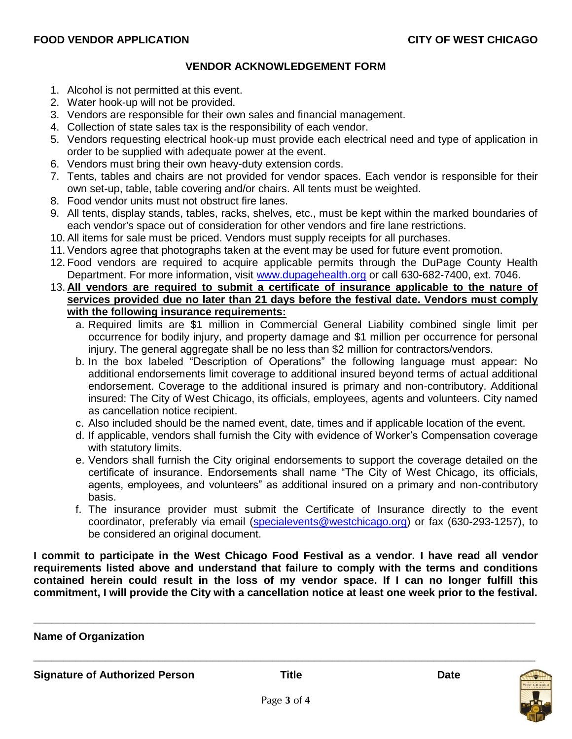## **VENDOR ACKNOWLEDGEMENT FORM**

- 1. Alcohol is not permitted at this event.
- 2. Water hook-up will not be provided.
- 3. Vendors are responsible for their own sales and financial management.
- 4. Collection of state sales tax is the responsibility of each vendor.
- 5. Vendors requesting electrical hook-up must provide each electrical need and type of application in order to be supplied with adequate power at the event.
- 6. Vendors must bring their own heavy-duty extension cords.
- 7. Tents, tables and chairs are not provided for vendor spaces. Each vendor is responsible for their own set-up, table, table covering and/or chairs. All tents must be weighted.
- 8. Food vendor units must not obstruct fire lanes.
- 9. All tents, display stands, tables, racks, shelves, etc., must be kept within the marked boundaries of each vendor's space out of consideration for other vendors and fire lane restrictions.
- 10. All items for sale must be priced. Vendors must supply receipts for all purchases.
- 11. Vendors agree that photographs taken at the event may be used for future event promotion.
- 12. Food vendors are required to acquire applicable permits through the DuPage County Health Department. For more information, visit [www.dupagehealth.org](http://www.dupagehealth.org/) or call 630-682-7400, ext. 7046.
- 13. **All vendors are required to submit a certificate of insurance applicable to the nature of services provided due no later than 21 days before the festival date. Vendors must comply with the following insurance requirements:**
	- a. Required limits are \$1 million in Commercial General Liability combined single limit per occurrence for bodily injury, and property damage and \$1 million per occurrence for personal injury. The general aggregate shall be no less than \$2 million for contractors/vendors.
	- b. In the box labeled "Description of Operations" the following language must appear: No additional endorsements limit coverage to additional insured beyond terms of actual additional endorsement. Coverage to the additional insured is primary and non-contributory. Additional insured: The City of West Chicago, its officials, employees, agents and volunteers. City named as cancellation notice recipient.
	- c. Also included should be the named event, date, times and if applicable location of the event.
	- d. If applicable, vendors shall furnish the City with evidence of Worker's Compensation coverage with statutory limits.
	- e. Vendors shall furnish the City original endorsements to support the coverage detailed on the certificate of insurance. Endorsements shall name "The City of West Chicago, its officials, agents, employees, and volunteers" as additional insured on a primary and non-contributory basis.
	- f. The insurance provider must submit the Certificate of Insurance directly to the event coordinator, preferably via email [\(specialevents@westchicago.org\)](mailto:specialevents@westchicago.org) or fax (630-293-1257), to be considered an original document.

**I commit to participate in the West Chicago Food Festival as a vendor. I have read all vendor requirements listed above and understand that failure to comply with the terms and conditions contained herein could result in the loss of my vendor space. If I can no longer fulfill this commitment, I will provide the City with a cancellation notice at least one week prior to the festival.** 

\_\_\_\_\_\_\_\_\_\_\_\_\_\_\_\_\_\_\_\_\_\_\_\_\_\_\_\_\_\_\_\_\_\_\_\_\_\_\_\_\_\_\_\_\_\_\_\_\_\_\_\_\_\_\_\_\_\_\_\_\_\_\_\_\_\_\_\_\_\_\_\_\_\_\_\_\_\_\_\_\_\_\_\_ **Name of Organization**  \_\_\_\_\_\_\_\_\_\_\_\_\_\_\_\_\_\_\_\_\_\_\_\_\_\_\_\_\_\_\_\_\_\_\_\_\_\_\_\_\_\_\_\_\_\_\_\_\_\_\_\_\_\_\_\_\_\_\_\_\_\_\_\_\_\_\_\_\_\_\_\_\_\_\_\_\_\_\_\_\_\_\_\_ **Signature of Authorized Person Title Date**